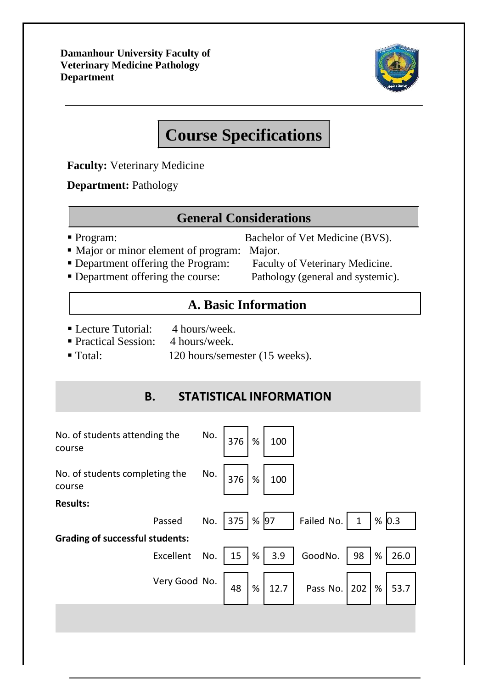**Damanhour University Faculty of Veterinary Medicine Pathology Department**



# **Course Specifications**

**Faculty:** Veterinary Medicine

**Department:** Pathology

#### **General Considerations**

Program: Bachelor of Vet Medicine (BVS).

- Major or minor element of program: Major.
- 

**• Department offering the Program:** Faculty of Veterinary Medicine. Department offering the course: Pathology (general and systemic).

### **A. Basic Information**

- Lecture Tutorial: 4 hours/week.
- Practical Session: 4 hours/week.
- Total: 120 hours/semester (15 weeks).

#### **B. STATISTICAL INFORMATION**

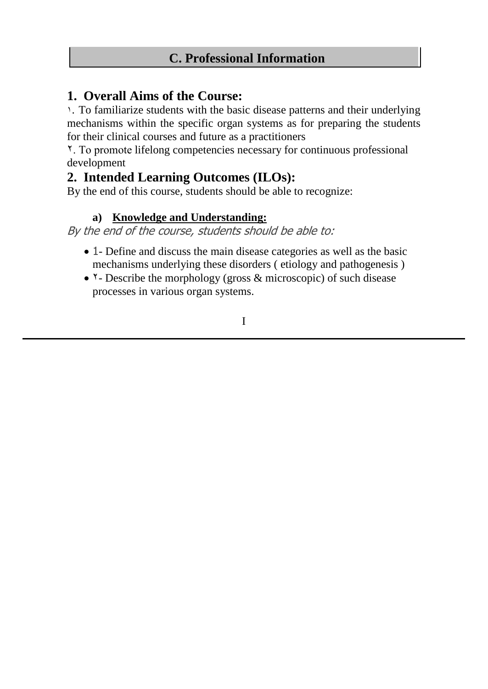#### **1. Overall Aims of the Course:**

١. To familiarize students with the basic disease patterns and their underlying mechanisms within the specific organ systems as for preparing the students for their clinical courses and future as a practitioners

٢. To promote lifelong competencies necessary for continuous professional development

#### **2. Intended Learning Outcomes (ILOs):**

By the end of this course, students should be able to recognize:

#### **a) Knowledge and Understanding:**

By the end of the course, students should be able to:

- 1- Define and discuss the main disease categories as well as the basic mechanisms underlying these disorders ( etiology and pathogenesis )
- T- Describe the morphology (gross & microscopic) of such disease processes in various organ systems.

I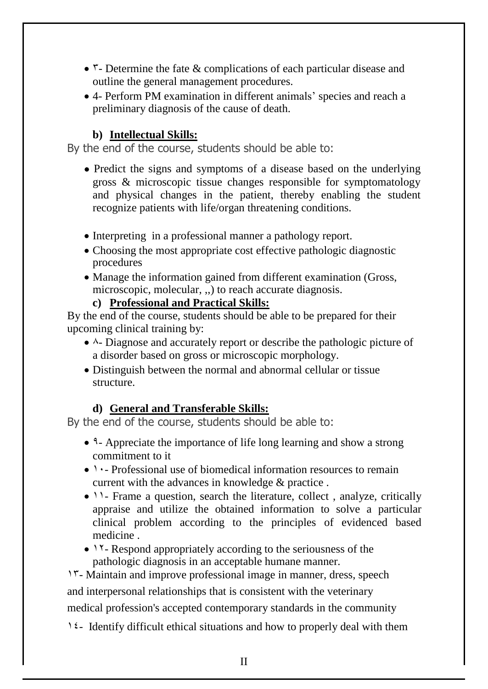- $\mathsf{r}\text{-}$  Determine the fate & complications of each particular disease and outline the general management procedures.
- 4- Perform PM examination in different animals' species and reach a preliminary diagnosis of the cause of death.

#### **b) Intellectual Skills:**

By the end of the course, students should be able to:

- Predict the signs and symptoms of a disease based on the underlying gross & microscopic tissue changes responsible for symptomatology and physical changes in the patient, thereby enabling the student recognize patients with life/organ threatening conditions.
- Interpreting in a professional manner a pathology report.
- Choosing the most appropriate cost effective pathologic diagnostic procedures
- Manage the information gained from different examination (Gross, microscopic, molecular, ,,) to reach accurate diagnosis.

**c) Professional and Practical Skills:**

By the end of the course, students should be able to be prepared for their upcoming clinical training by:

- ٨- Diagnose and accurately report or describe the pathologic picture of a disorder based on gross or microscopic morphology.
- Distinguish between the normal and abnormal cellular or tissue structure.

#### **d) General and Transferable Skills:**

By the end of the course, students should be able to:

- ٩- Appreciate the importance of life long learning and show a strong commitment to it
- 1. Professional use of biomedical information resources to remain current with the advances in knowledge & practice .
- 11- Frame a question, search the literature, collect, analyze, critically appraise and utilize the obtained information to solve a particular clinical problem according to the principles of evidenced based medicine .
- 17- Respond appropriately according to the seriousness of the pathologic diagnosis in an acceptable humane manner.

١٣- Maintain and improve professional image in manner, dress, speech and interpersonal relationships that is consistent with the veterinary medical profession's accepted contemporary standards in the community

١٤- Identify difficult ethical situations and how to properly deal with them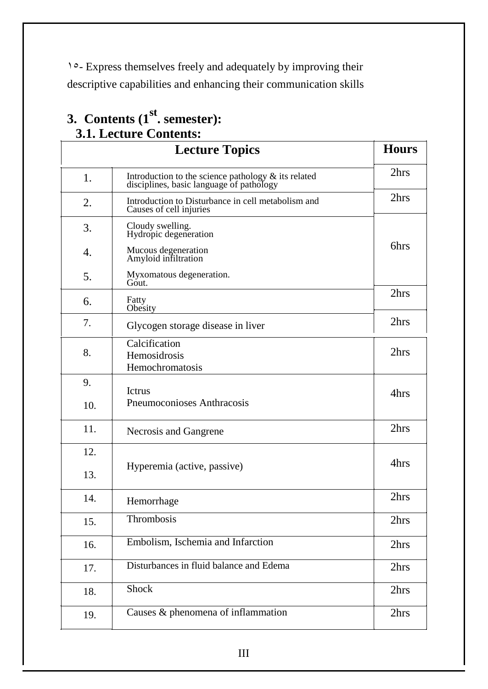١٥- Express themselves freely and adequately by improving their descriptive capabilities and enhancing their communication skills

# **3. Contents (1st . semester): 3.1. Lecture Contents:**

|                  | <b>Lecture Topics</b>                                                                              | <b>Hours</b> |
|------------------|----------------------------------------------------------------------------------------------------|--------------|
| 1.               | Introduction to the science pathology $\&$ its related<br>disciplines, basic language of pathology | 2hrs         |
| 2.               | Introduction to Disturbance in cell metabolism and<br>Causes of cell injuries                      | 2hrs         |
| 3.               | Cloudy swelling.<br>Hydropic degeneration                                                          |              |
| $\overline{4}$ . | Mucous degeneration<br>Amyloid infiltration                                                        | 6hrs         |
| 5.               | Myxomatous degeneration.<br>Gout.                                                                  |              |
| 6.               | Fatty<br>Obesity                                                                                   | 2hrs         |
| 7.               | Glycogen storage disease in liver                                                                  | 2hrs         |
| 8.               | Calcification<br>Hemosidrosis<br>Hemochromatosis                                                   | 2hrs         |
| 9.               | Ictrus                                                                                             | 4hrs         |
| 10.              | Pneumoconioses Anthracosis                                                                         |              |
| 11.              | Necrosis and Gangrene                                                                              | 2hrs         |
| 12.              |                                                                                                    | 4hrs         |
| 13.              | Hyperemia (active, passive)                                                                        |              |
| 14.              | Hemorrhage                                                                                         | 2hrs         |
| 15.              | Thrombosis                                                                                         | 2hrs         |
| 16.              | Embolism, Ischemia and Infarction                                                                  | 2hrs         |
| 17.              | Disturbances in fluid balance and Edema                                                            | 2hrs         |
| 18.              | Shock                                                                                              | 2hrs         |
| 19.              | Causes & phenomena of inflammation                                                                 | 2hrs         |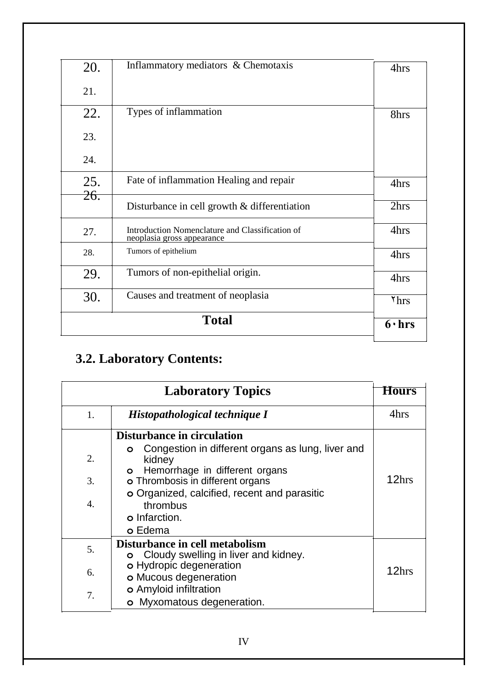|            | <b>Total</b>                                                                  | $6 \cdot hrs$    |
|------------|-------------------------------------------------------------------------------|------------------|
| 30.        | Causes and treatment of neoplasia                                             | 7 <sub>hrs</sub> |
| 29.        | Tumors of non-epithelial origin.                                              | 4hrs             |
| 28.        | Tumors of epithelium                                                          | 4hrs             |
| 27.        | Introduction Nomenclature and Classification of<br>neoplasia gross appearance | 4hrs             |
|            | Disturbance in cell growth $&$ differentiation                                | 2hrs             |
| 25.<br>26. | Fate of inflammation Healing and repair                                       | 4hrs             |
| 24.        |                                                                               |                  |
| 23.        |                                                                               |                  |
| 22.        | Types of inflammation                                                         | 8hrs             |
| 21.        |                                                                               |                  |
| 20.        | Inflammatory mediators & Chemotaxis                                           | 4hrs             |

# **3.2. Laboratory Contents:**

| <b>Laboratory Topics</b>   |                                                                                                                                                                                                                                                                         |       |  |
|----------------------------|-------------------------------------------------------------------------------------------------------------------------------------------------------------------------------------------------------------------------------------------------------------------------|-------|--|
| 1.                         | Histopathological technique I                                                                                                                                                                                                                                           | 4hrs  |  |
| 2.<br>3.<br>$\mathbf{4}$ . | Disturbance in circulation<br>Congestion in different organs as lung, liver and<br>O<br>kidney<br>Hemorrhage in different organs<br>$\circ$<br>o Thrombosis in different organs<br>o Organized, calcified, recent and parasitic<br>thrombus<br>o Infarction.<br>o Edema | 12hrs |  |
| 5.<br>6.                   | Disturbance in cell metabolism<br>Cloudy swelling in liver and kidney.<br>$\circ$<br>o Hydropic degeneration<br>o Mucous degeneration<br>o Amyloid infiltration                                                                                                         | 12hrs |  |
| 7.                         | o Myxomatous degeneration.                                                                                                                                                                                                                                              |       |  |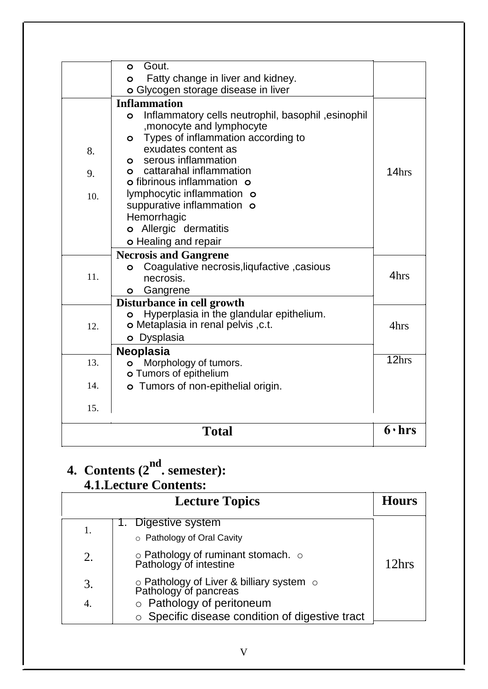# **4. Contents (2nd. semester):**

### **4.1.Lecture Contents:**

| <b>Lecture Topics</b> |                                                                                                       |       |  |
|-----------------------|-------------------------------------------------------------------------------------------------------|-------|--|
| 1.                    | 1. Digestive system<br>o Pathology of Oral Cavity                                                     |       |  |
| 2.                    | o Pathology of ruminant stomach. o Pathology of intestine                                             | 12hrs |  |
| 3.<br>4.              | o Pathology of Liver & billiary system of<br>Pathology of pancreas<br>$\circ$ Pathology of peritoneum |       |  |
|                       | ○ Specific disease condition of digestive tract                                                       |       |  |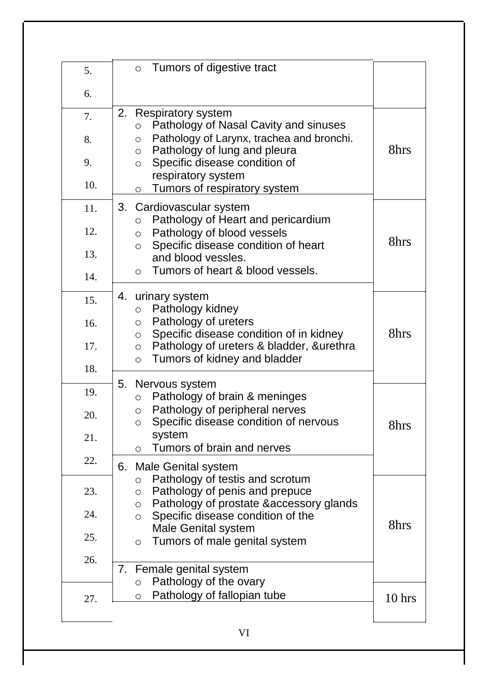| 5.  | Tumors of digestive tract<br>$\circ$                                                               |        |
|-----|----------------------------------------------------------------------------------------------------|--------|
| 6.  |                                                                                                    |        |
| 7.  | 2.<br><b>Respiratory system</b><br>Pathology of Nasal Cavity and sinuses<br>$\circ$                |        |
| 8.  | Pathology of Larynx, trachea and bronchi.<br>$\circ$<br>Pathology of lung and pleura<br>$\circ$    | 8hrs   |
| 9.  | Specific disease condition of<br>$\circ$<br>respiratory system                                     |        |
| 10. | Tumors of respiratory system<br>$\circ$                                                            |        |
| 11. | 3.<br>Cardiovascular system<br>Pathology of Heart and pericardium<br>$\circ$                       |        |
| 12. | Pathology of blood vessels<br>$\circ$<br>Specific disease condition of heart<br>$\circ$            | 8hrs   |
| 13. | and blood vessles.<br>Tumors of heart & blood vessels.                                             |        |
| 14. | $\circ$                                                                                            |        |
| 15. | 4. urinary system<br>Pathology kidney<br>$\circ$                                                   |        |
| 16. | Pathology of ureters<br>$\circ$<br>Specific disease condition of in kidney<br>$\circ$              | 8hrs   |
| 17. | Pathology of ureters & bladder, &urethra<br>$\circ$<br>Tumors of kidney and bladder<br>$\circ$     |        |
| 18. |                                                                                                    |        |
| 19. | Nervous system<br>5.<br>Pathology of brain & meninges<br>$\circ$                                   |        |
| 20. | Pathology of peripheral nerves<br>$\circ$<br>Specific disease condition of nervous<br>$\circ$      | 8hrs   |
| 21. | system<br>Tumors of brain and nerves<br>$\circ$                                                    |        |
| 22. | 6.<br>Male Genital system                                                                          |        |
| 23. | Pathology of testis and scrotum<br>$\circ$<br>Pathology of penis and prepuce<br>$\circ$            |        |
| 24. | Pathology of prostate &accessory glands<br>$\circ$<br>Specific disease condition of the<br>$\circ$ | 8hrs   |
| 25. | <b>Male Genital system</b><br>Tumors of male genital system<br>$\circ$                             |        |
| 26. | 7. Female genital system                                                                           |        |
|     | Pathology of the ovary<br>$\circ$                                                                  |        |
| 27. | Pathology of fallopian tube<br>O                                                                   | 10 hrs |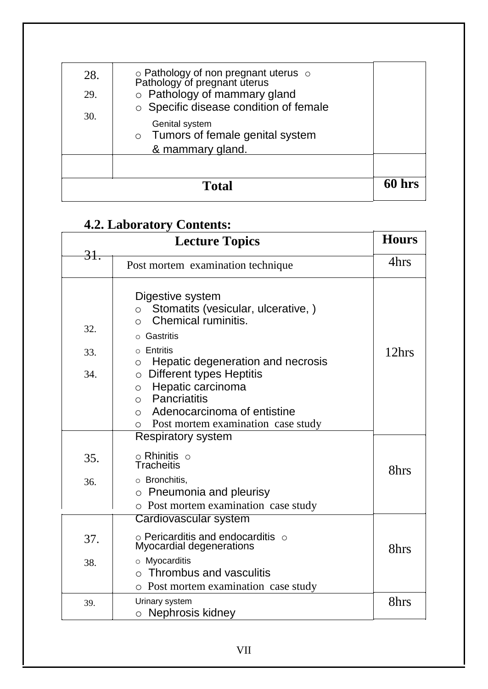| 28.<br>29. | ○ Pathology of non pregnant uterus ○<br>Pathology of pregnant uterus<br>$\circ$ Pathology of mammary gland<br>○ Specific disease condition of female |        |
|------------|------------------------------------------------------------------------------------------------------------------------------------------------------|--------|
| 30.        | Genital system<br>o Tumors of female genital system<br>& mammary gland.                                                                              |        |
|            | <b>Total</b>                                                                                                                                         | 60 hrs |

# **4.2. Laboratory Contents:**

|            | " <b>La</b> durator <sub>.</sub><br>$\sim$ $\sim$ $\sim$ $\sim$ $\sim$<br><b>Lecture Topics</b>                                                                                                  | <b>Hours</b> |
|------------|--------------------------------------------------------------------------------------------------------------------------------------------------------------------------------------------------|--------------|
| 31.        | Post mortem examination technique                                                                                                                                                                | 4hrs         |
| 32.<br>33. | Digestive system<br>Stomatits (vesicular, ulcerative, )<br>$\circ$<br>Chemical ruminitis.<br>$\bigcirc$<br>Gastritis<br>$\circ$ Entritis<br>Hepatic degeneration and necrosis<br>O               | 12hrs        |
| 34.        | <b>Different types Heptitis</b><br>$\circ$<br>Hepatic carcinoma<br>$\circ$<br>Pancriatitis<br>$\circ$<br>Adenocarcinoma of entistine<br>$\circ$<br>Post mortem examination case study<br>$\circ$ |              |
| 35.        | <b>Respiratory system</b><br>$\circ$ Rhinitis $\circ$<br><b>Tracheitis</b>                                                                                                                       |              |
| 36.        | $\circ$ Bronchitis,<br>$\circ$ Pneumonia and pleurisy<br>o Post mortem examination case study                                                                                                    | 8hrs         |
|            | Cardiovascular system                                                                                                                                                                            |              |
| 37.        | $\circ$ Pericarditis and endocarditis $\circ$<br>Myocardial degenerations                                                                                                                        | 8hrs         |
| 38.        | o Myocarditis<br>$\circ$ Thrombus and vasculitis<br>o Post mortem examination case study                                                                                                         |              |
| 39.        | Urinary system<br>$\circ$ Nephrosis kidney                                                                                                                                                       | 8hrs         |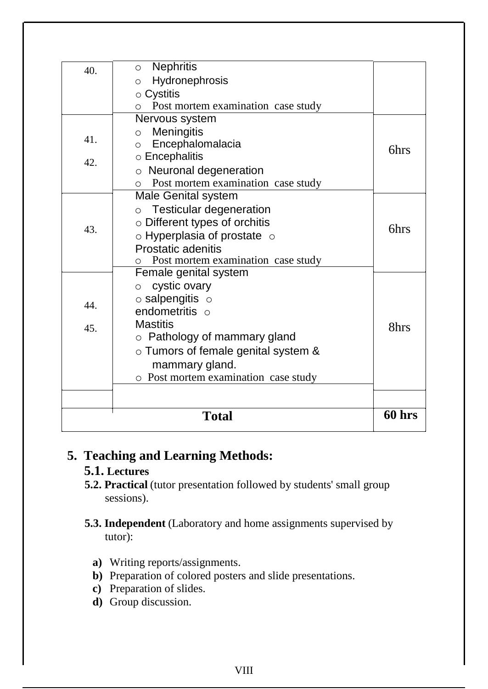|     | <b>Total</b>                                                | 60 hrs |
|-----|-------------------------------------------------------------|--------|
|     |                                                             |        |
|     | o Post mortem examination case study                        |        |
|     | $\circ$ Tumors of female genital system &<br>mammary gland. |        |
|     | $\circ$ Pathology of mammary gland                          |        |
| 45. | <b>Mastitis</b>                                             | 8hrs   |
| 44. | endometritis o                                              |        |
|     | $\circ$ salpengitis $\circ$                                 |        |
|     | cystic ovary<br>$\circ$                                     |        |
|     | Post mortem examination case study<br>Female genital system |        |
|     | Prostatic adenitis                                          |        |
|     | $\circ$ Hyperplasia of prostate $\circ$                     |        |
| 43. | $\circ$ Different types of orchitis                         | 6hrs   |
|     | o Testicular degeneration                                   |        |
|     | <b>Male Genital system</b>                                  |        |
|     | Post mortem examination case study<br>$\circ$               |        |
| 42. | o Neuronal degeneration                                     |        |
|     | Encephalomalacia<br>$\Omega$<br>$\circ$ Encephalitis        | 6hrs   |
| 41. | Meningitis<br>$\circ$                                       |        |
|     | Nervous system                                              |        |
|     | Post mortem examination case study<br>$\circ$               |        |
|     | $\circ$ Cystitis                                            |        |
|     | Hydronephrosis<br>$\circ$                                   |        |
| 40. | <b>Nephritis</b><br>$\circ$                                 |        |

#### **5. Teaching and Learning Methods:**

#### **5.1. Lectures**

- **5.2. Practical** (tutor presentation followed by students' small group sessions).
- **5.3. Independent** (Laboratory and home assignments supervised by tutor):
	- **a)** Writing reports/assignments.
	- **b)** Preparation of colored posters and slide presentations.
	- **c)** Preparation of slides.
	- **d)** Group discussion.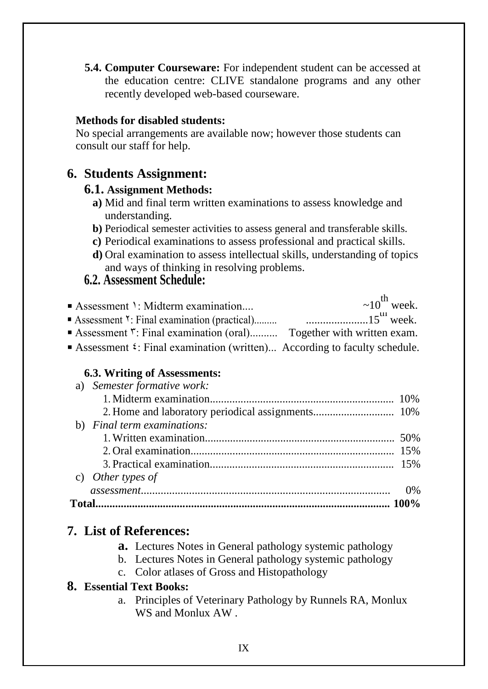**5.4. Computer Courseware:** For independent student can be accessed at the education centre: CLIVE standalone programs and any other recently developed web-based courseware.

#### **Methods for disabled students:**

No special arrangements are available now; however those students can consult our staff for help.

#### **6. Students Assignment:**

#### **6.1. Assignment Methods:**

- **a)** Mid and final term written examinations to assess knowledge and understanding.
- **b)** Periodical semester activities to assess general and transferable skills.
- **c)** Periodical examinations to assess professional and practical skills.
- **d)** Oral examination to assess intellectual skills, understanding of topics and ways of thinking in resolving problems.

#### **6.2. Assessment Schedule:**

| Assessment 1: Midterm examination                                                  | $\sim 10^{th}$ week. |
|------------------------------------------------------------------------------------|----------------------|
|                                                                                    |                      |
| Assessment ": Final examination (oral) Together with written exam.                 |                      |
| Assessment $\epsilon$ : Final examination (written) According to faculty schedule. |                      |

#### **6.3. Writing of Assessments:**

| a) Semester formative work: |       |
|-----------------------------|-------|
|                             |       |
|                             |       |
| b) Final term examinations: |       |
|                             |       |
|                             |       |
|                             |       |
| c) Other types of           |       |
|                             | $0\%$ |
|                             |       |

#### **7. List of References:**

- **a.** Lectures Notes in General pathology systemic pathology
- b. Lectures Notes in General pathology systemic pathology
- c. Color atlases of Gross and Histopathology

#### **8. Essential Text Books:**

a. Principles of Veterinary Pathology by Runnels RA, Monlux WS and Monlux AW .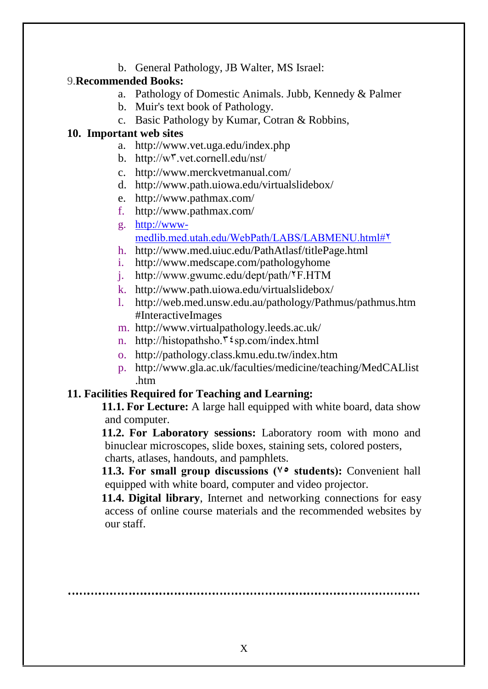b. General Pathology, JB Walter, MS Israel:

#### 9.**Recommended Books:**

- a. Pathology of Domestic Animals. Jubb, Kennedy & Palmer
- b. Muir's text book of Pathology.
- c. Basic Pathology by Kumar, Cotran & Robbins,

#### **10. Important web sites**

- a. http://www.vet.uga.edu/index.php
- b. http://w٣.vet.cornell.edu/nst/
- c. http://www.merckvetmanual.com/
- d. http://www.path.uiowa.edu/virtualslidebox/
- e. http://www.pathmax.com/
- f. http://www.pathmax.com/
- g. http://wwwmedlib.med.utah.edu/WebPath/LABS/LABMENU.html#٢
- h. http://www.med.uiuc.edu/PathAtlasf/titlePage.html
- i. http://www.medscape.com/pathologyhome
- j. http://www.gwumc.edu/dept/path/٢F.HTM
- k. http://www.path.uiowa.edu/virtualslidebox/
- l. http://web.med.unsw.edu.au/pathology/Pathmus/pathmus.htm #InteractiveImages
- m. http://www.virtualpathology.leeds.ac.uk/
- n. http://histopathsho.<sup>۳٤</sup>sp.com/index.html
- o. http://pathology.class.kmu.edu.tw/index.htm
- p. http://www.gla.ac.uk/faculties/medicine/teaching/MedCALlist .htm

#### **11. Facilities Required for Teaching and Learning:**

**11.1. For Lecture:** A large hall equipped with white board, data show and computer.

**11.2. For Laboratory sessions:** Laboratory room with mono and binuclear microscopes, slide boxes, staining sets, colored posters, charts, atlases, handouts, and pamphlets.

**11.3. For small group discussions (٧٥ students):** Convenient hall equipped with white board, computer and video projector.

**11.4. Digital library**, Internet and networking connections for easy access of online course materials and the recommended websites by our staff.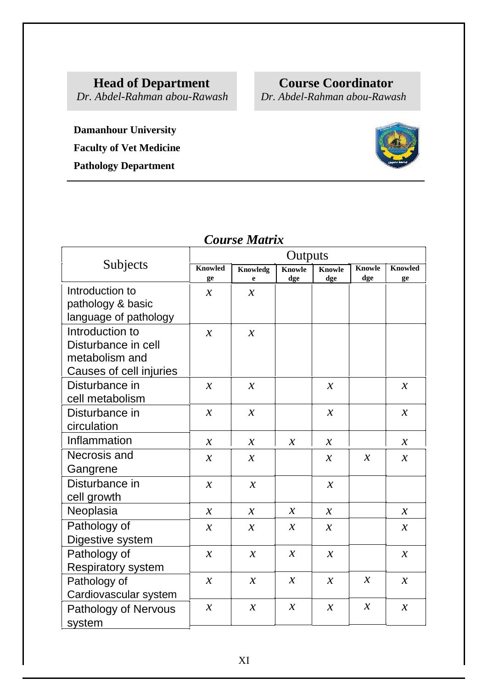**Head of Department**<br> *Dr. Abdel-Rahman abou-Rawash Dr. Abdel-Rahman abou-Rawash* 

*Dr. Abdel-Rahman abou-Rawash Dr. Abdel-Rahman abou-Rawash*

**Damanhour University Faculty of Vet Medicine Pathology Department**

|                                                                                     | Outputs              |                                |                      |                      |                      |                      |
|-------------------------------------------------------------------------------------|----------------------|--------------------------------|----------------------|----------------------|----------------------|----------------------|
| Subjects                                                                            | <b>Knowled</b><br>ge | <b>Knowledg</b><br>$\mathbf e$ | <b>Knowle</b><br>dge | <b>Knowle</b><br>dge | <b>Knowle</b><br>dge | <b>Knowled</b><br>ge |
| Introduction to<br>pathology & basic<br>language of pathology                       | $\mathcal{X}$        | $\mathcal{X}$                  |                      |                      |                      |                      |
| Introduction to<br>Disturbance in cell<br>metabolism and<br>Causes of cell injuries | $\mathcal{X}$        | $\mathcal{X}$                  |                      |                      |                      |                      |
| Disturbance in<br>cell metabolism                                                   | $\mathcal{X}$        | $\mathcal{X}$                  |                      | $\mathcal{X}$        |                      | $\mathcal{X}$        |
| Disturbance in<br>circulation                                                       | $\mathcal{X}$        | $\mathcal{X}$                  |                      | $\mathcal{X}$        |                      | $\mathcal{X}$        |
| Inflammation                                                                        | $\mathcal{X}$        | $\mathcal{X}$                  | $\mathcal{X}$        | $\mathcal{X}$        |                      | $\mathcal{X}$        |
| Necrosis and<br>Gangrene                                                            | $\mathcal{X}$        | $\boldsymbol{\chi}$            |                      | $\mathcal{X}$        | $\mathcal{X}$        | $\mathcal{X}$        |
| Disturbance in<br>cell growth                                                       | $\mathcal{X}$        | $\mathcal{X}$                  |                      | $\mathcal{X}$        |                      |                      |
| Neoplasia                                                                           | $\mathcal{X}$        | $\mathcal{X}$                  | $\mathcal{X}$        | $\mathcal{X}$        |                      | $\mathcal{X}$        |
| Pathology of<br>Digestive system                                                    | $\mathcal{X}$        | $\mathcal{X}$                  | $\mathcal{X}$        | $\mathcal{X}$        |                      | $\mathcal{X}$        |
| Pathology of<br><b>Respiratory system</b>                                           | $\mathcal{X}$        | $\mathcal{X}$                  | $\mathcal{X}$        | $\mathcal{X}$        |                      | $\mathcal{X}$        |
| Pathology of<br>Cardiovascular system                                               | $\boldsymbol{\chi}$  | $\mathcal{X}$                  | $\mathcal{X}$        | $\mathcal{X}$        | $\mathcal{X}$        | $\boldsymbol{\chi}$  |
| Pathology of Nervous<br>system                                                      | $\mathcal{X}$        | $\mathcal{X}$                  | $\mathcal{X}$        | $\mathcal{X}$        | $\mathcal{X}$        | $\mathcal{X}$        |

### *Course Matrix*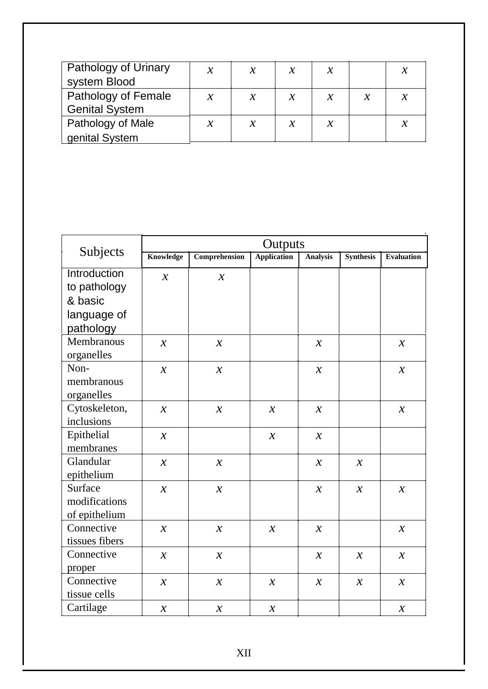| Pathology of Urinary<br>system Blood         | $\mathcal{X}$ | $\mathcal{X}$ | $\mathcal{X}$ |  |  |
|----------------------------------------------|---------------|---------------|---------------|--|--|
| Pathology of Female<br><b>Genital System</b> | $\mathcal{X}$ | $\mathcal{X}$ | $\mathcal{X}$ |  |  |
| Pathology of Male                            | $\mathcal{X}$ |               | $\mathcal{X}$ |  |  |
| genital System                               |               |               |               |  |  |

| Subjects                | Outputs             |                            |                    |                 |                  |                            |  |  |
|-------------------------|---------------------|----------------------------|--------------------|-----------------|------------------|----------------------------|--|--|
|                         | <b>Knowledge</b>    | Comprehension              | <b>Application</b> | <b>Analysis</b> | <b>Synthesis</b> | <b>Evaluation</b>          |  |  |
| <b>Introduction</b>     | $\mathcal{X}$       | $\mathcal{X}$              |                    |                 |                  |                            |  |  |
| to pathology            |                     |                            |                    |                 |                  |                            |  |  |
| & basic                 |                     |                            |                    |                 |                  |                            |  |  |
| language of             |                     |                            |                    |                 |                  |                            |  |  |
| pathology<br>Membranous |                     |                            |                    |                 |                  |                            |  |  |
| organelles              | $\mathcal{X}$       | $\mathcal{X}$              |                    | $\mathcal{X}$   |                  | $\mathcal{X}$              |  |  |
| Non-                    | $\boldsymbol{\chi}$ | $\boldsymbol{\mathcal{X}}$ |                    | $\mathcal{X}$   |                  | $\boldsymbol{\mathcal{X}}$ |  |  |
| membranous              |                     |                            |                    |                 |                  |                            |  |  |
| organelles              |                     |                            |                    |                 |                  |                            |  |  |
| Cytoskeleton,           | $\mathcal{X}$       | $\mathcal{X}$              | $\mathcal{X}$      | $\mathcal{X}$   |                  | $\mathcal{X}$              |  |  |
| inclusions              |                     |                            |                    |                 |                  |                            |  |  |
| Epithelial              | $\mathcal{X}$       |                            | $\mathcal{X}$      | $\mathcal{X}$   |                  |                            |  |  |
| membranes               |                     |                            |                    |                 |                  |                            |  |  |
| Glandular               | $\mathcal{X}$       | $\boldsymbol{\chi}$        |                    | $\mathcal{X}$   | $\mathcal{X}$    |                            |  |  |
| epithelium              |                     |                            |                    |                 |                  |                            |  |  |
| Surface                 | $\boldsymbol{\chi}$ | $\mathcal{X}$              |                    | $\mathcal{X}$   | $\mathcal{X}$    | $\mathcal{X}$              |  |  |
| modifications           |                     |                            |                    |                 |                  |                            |  |  |
| of epithelium           |                     |                            |                    |                 |                  |                            |  |  |
| Connective              | $\mathcal{X}$       | $\mathcal{X}$              | $\mathcal{X}$      | $\mathcal{X}$   |                  | $\mathcal{X}$              |  |  |
| tissues fibers          |                     |                            |                    |                 |                  |                            |  |  |
| Connective              | $\boldsymbol{\chi}$ | $\mathcal{X}$              |                    | $\mathcal{X}$   | $\mathcal{X}$    | $\mathcal{X}$              |  |  |
| proper                  |                     |                            |                    |                 |                  |                            |  |  |
| Connective              | $\mathcal{X}$       | $\mathcal{X}$              | $\mathcal{X}$      | $\mathcal{X}$   | $\mathcal{X}$    | $\mathcal{X}$              |  |  |
| tissue cells            |                     |                            |                    |                 |                  |                            |  |  |
| Cartilage               | $\mathcal{X}$       | $\mathcal{X}$              | $\mathcal{X}$      |                 |                  | $\mathcal{X}$              |  |  |